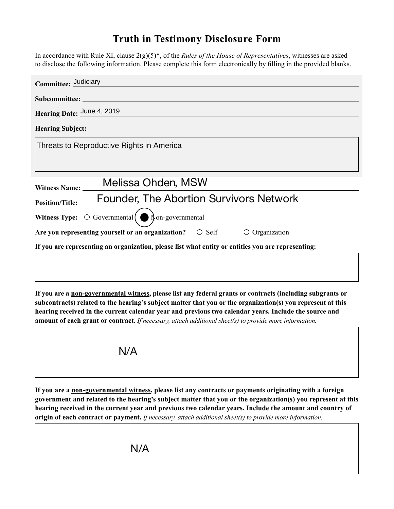## **Truth in Testimony Disclosure Form**

In accordance with Rule XI, clause 2(g)(5)\*, of the *Rules of the House of Representatives*, witnesses are asked to disclose the following information. Please complete this form electronically by filling in the provided blanks.

| Committee: Judiciary                                                                               |
|----------------------------------------------------------------------------------------------------|
| Subcommittee: ___________                                                                          |
| Hearing Date: June 4, 2019                                                                         |
| <b>Hearing Subject:</b>                                                                            |
| Threats to Reproductive Rights in America                                                          |
|                                                                                                    |
| Melissa Ohden, MSW<br>Witness Name: ____                                                           |
| <b>Founder, The Abortion Survivors Network</b><br><b>Position/Title:</b>                           |
| Witness Type: $\bigcirc$ Governmental<br>Non-governmental                                          |
| Are you representing yourself or an organization? $\circ$ Self<br>Organization                     |
| If you are representing an organization, please list what entity or entities you are representing: |
|                                                                                                    |

**If you are a non-governmental witness, please list any federal grants or contracts (including subgrants or subcontracts) related to the hearing's subject matter that you or the organization(s) you represent at this hearing received in the current calendar year and previous two calendar years. Include the source and amount of each grant or contract.** *If necessary, attach additional sheet(s) to provide more information.*



**If you are a non-governmental witness, please list any contracts or payments originating with a foreign government and related to the hearing's subject matter that you or the organization(s) you represent at this hearing received in the current year and previous two calendar years. Include the amount and country of origin of each contract or payment.** *If necessary, attach additional sheet(s) to provide more information.* N/A<br>
tal witness<br>
the hearing<br>
ent year al<br>
ayment. If<br>
N/A